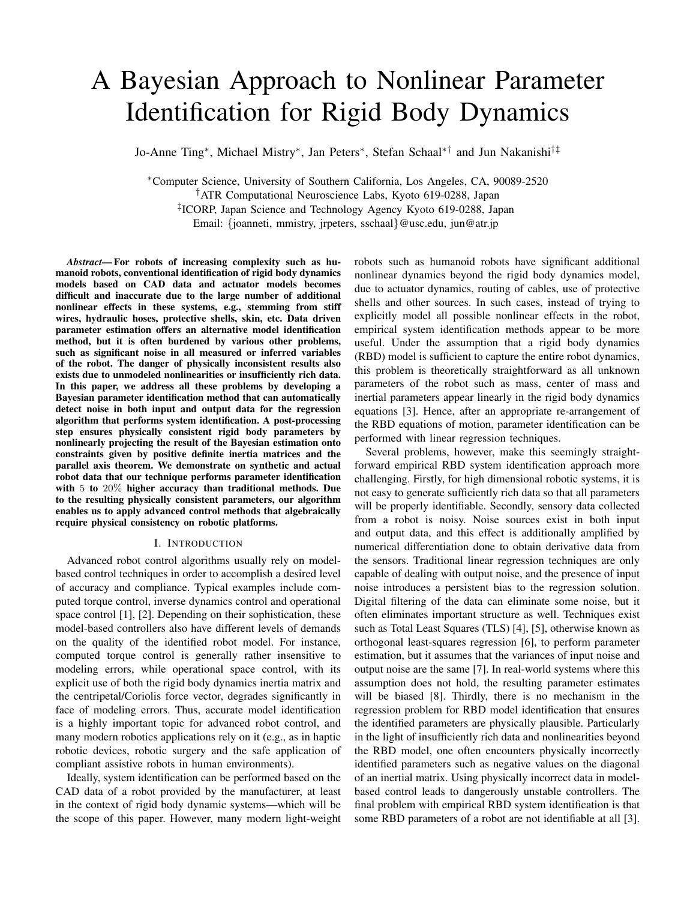# A Bayesian Approach to Nonlinear Parameter Identification for Rigid Body Dynamics

Jo-Anne Ting<sup>∗</sup> , Michael Mistry<sup>∗</sup> , Jan Peters<sup>∗</sup> , Stefan Schaal∗† and Jun Nakanishi†‡

<sup>∗</sup>Computer Science, University of Southern California, Los Angeles, CA, 90089-2520 †ATR Computational Neuroscience Labs, Kyoto 619-0288, Japan ‡ ICORP, Japan Science and Technology Agency Kyoto 619-0288, Japan Email: {joanneti, mmistry, jrpeters, sschaal}@usc.edu, jun@atr.jp

Abstract— For robots of increasing complexity such as humanoid robots, conventional identification of rigid body dynamics models based on CAD data and actuator models becomes difficult and inaccurate due to the large number of additional nonlinear effects in these systems, e.g., stemming from stiff wires, hydraulic hoses, protective shells, skin, etc. Data driven parameter estimation offers an alternative model identification method, but it is often burdened by various other problems, such as significant noise in all measured or inferred variables of the robot. The danger of physically inconsistent results also exists due to unmodeled nonlinearities or insufficiently rich data. In this paper, we address all these problems by developing a Bayesian parameter identification method that can automatically detect noise in both input and output data for the regression algorithm that performs system identification. A post-processing step ensures physically consistent rigid body parameters by nonlinearly projecting the result of the Bayesian estimation onto constraints given by positive definite inertia matrices and the parallel axis theorem. We demonstrate on synthetic and actual robot data that our technique performs parameter identification with 5 to 20% higher accuracy than traditional methods. Due to the resulting physically consistent parameters, our algorithm enables us to apply advanced control methods that algebraically require physical consistency on robotic platforms.

## I. INTRODUCTION

Advanced robot control algorithms usually rely on modelbased control techniques in order to accomplish a desired level of accuracy and compliance. Typical examples include computed torque control, inverse dynamics control and operational space control [1], [2]. Depending on their sophistication, these model-based controllers also have different levels of demands on the quality of the identified robot model. For instance, computed torque control is generally rather insensitive to modeling errors, while operational space control, with its explicit use of both the rigid body dynamics inertia matrix and the centripetal/Coriolis force vector, degrades significantly in face of modeling errors. Thus, accurate model identification is a highly important topic for advanced robot control, and many modern robotics applications rely on it (e.g., as in haptic robotic devices, robotic surgery and the safe application of compliant assistive robots in human environments).

Ideally, system identification can be performed based on the CAD data of a robot provided by the manufacturer, at least in the context of rigid body dynamic systems—which will be the scope of this paper. However, many modern light-weight

robots such as humanoid robots have significant additional nonlinear dynamics beyond the rigid body dynamics model, due to actuator dynamics, routing of cables, use of protective shells and other sources. In such cases, instead of trying to explicitly model all possible nonlinear effects in the robot, empirical system identification methods appear to be more useful. Under the assumption that a rigid body dynamics (RBD) model is sufficient to capture the entire robot dynamics, this problem is theoretically straightforward as all unknown parameters of the robot such as mass, center of mass and inertial parameters appear linearly in the rigid body dynamics equations [3]. Hence, after an appropriate re-arrangement of the RBD equations of motion, parameter identification can be performed with linear regression techniques.

Several problems, however, make this seemingly straightforward empirical RBD system identification approach more challenging. Firstly, for high dimensional robotic systems, it is not easy to generate sufficiently rich data so that all parameters will be properly identifiable. Secondly, sensory data collected from a robot is noisy. Noise sources exist in both input and output data, and this effect is additionally amplified by numerical differentiation done to obtain derivative data from the sensors. Traditional linear regression techniques are only capable of dealing with output noise, and the presence of input noise introduces a persistent bias to the regression solution. Digital filtering of the data can eliminate some noise, but it often eliminates important structure as well. Techniques exist such as Total Least Squares (TLS) [4], [5], otherwise known as orthogonal least-squares regression [6], to perform parameter estimation, but it assumes that the variances of input noise and output noise are the same [7]. In real-world systems where this assumption does not hold, the resulting parameter estimates will be biased [8]. Thirdly, there is no mechanism in the regression problem for RBD model identification that ensures the identified parameters are physically plausible. Particularly in the light of insufficiently rich data and nonlinearities beyond the RBD model, one often encounters physically incorrectly identified parameters such as negative values on the diagonal of an inertial matrix. Using physically incorrect data in modelbased control leads to dangerously unstable controllers. The final problem with empirical RBD system identification is that some RBD parameters of a robot are not identifiable at all [3].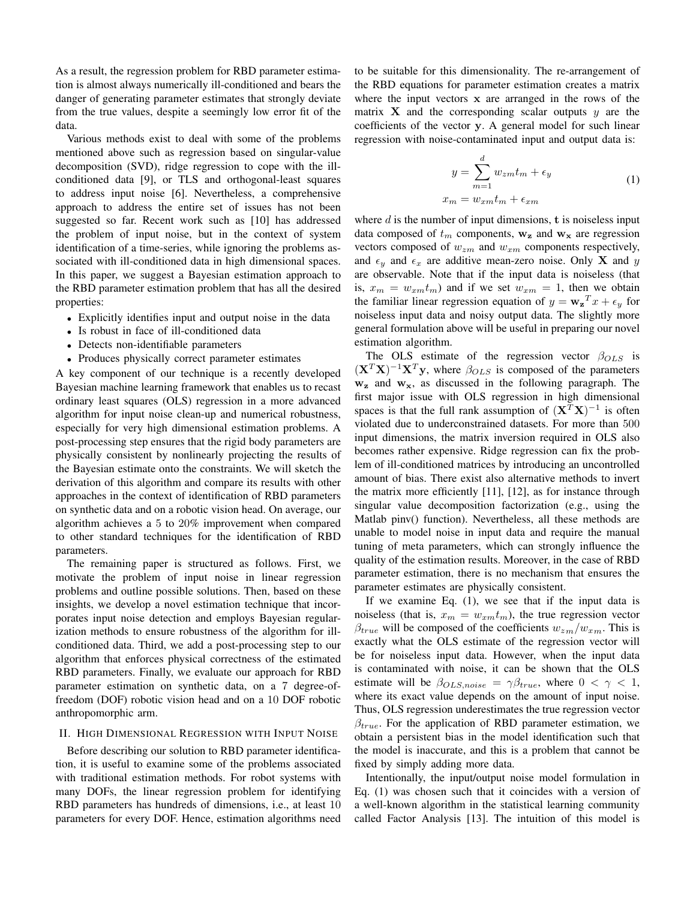As a result, the regression problem for RBD parameter estimation is almost always numerically ill-conditioned and bears the danger of generating parameter estimates that strongly deviate from the true values, despite a seemingly low error fit of the data.

Various methods exist to deal with some of the problems mentioned above such as regression based on singular-value decomposition (SVD), ridge regression to cope with the illconditioned data [9], or TLS and orthogonal-least squares to address input noise [6]. Nevertheless, a comprehensive approach to address the entire set of issues has not been suggested so far. Recent work such as [10] has addressed the problem of input noise, but in the context of system identification of a time-series, while ignoring the problems associated with ill-conditioned data in high dimensional spaces. In this paper, we suggest a Bayesian estimation approach to the RBD parameter estimation problem that has all the desired properties:

- Explicitly identifies input and output noise in the data
- Is robust in face of ill-conditioned data
- Detects non-identifiable parameters
- Produces physically correct parameter estimates

A key component of our technique is a recently developed Bayesian machine learning framework that enables us to recast ordinary least squares (OLS) regression in a more advanced algorithm for input noise clean-up and numerical robustness, especially for very high dimensional estimation problems. A post-processing step ensures that the rigid body parameters are physically consistent by nonlinearly projecting the results of the Bayesian estimate onto the constraints. We will sketch the derivation of this algorithm and compare its results with other approaches in the context of identification of RBD parameters on synthetic data and on a robotic vision head. On average, our algorithm achieves a 5 to 20% improvement when compared to other standard techniques for the identification of RBD parameters.

The remaining paper is structured as follows. First, we motivate the problem of input noise in linear regression problems and outline possible solutions. Then, based on these insights, we develop a novel estimation technique that incorporates input noise detection and employs Bayesian regularization methods to ensure robustness of the algorithm for illconditioned data. Third, we add a post-processing step to our algorithm that enforces physical correctness of the estimated RBD parameters. Finally, we evaluate our approach for RBD parameter estimation on synthetic data, on a 7 degree-offreedom (DOF) robotic vision head and on a 10 DOF robotic anthropomorphic arm.

## II. HIGH DIMENSIONAL REGRESSION WITH INPUT NOISE

Before describing our solution to RBD parameter identification, it is useful to examine some of the problems associated with traditional estimation methods. For robot systems with many DOFs, the linear regression problem for identifying RBD parameters has hundreds of dimensions, i.e., at least 10 parameters for every DOF. Hence, estimation algorithms need to be suitable for this dimensionality. The re-arrangement of the RBD equations for parameter estimation creates a matrix where the input vectors x are arranged in the rows of the matrix  $X$  and the corresponding scalar outputs  $y$  are the coefficients of the vector y. A general model for such linear regression with noise-contaminated input and output data is:

$$
y = \sum_{m=1}^{d} w_{zm} t_m + \epsilon_y
$$
  

$$
x_m = w_{xm} t_m + \epsilon_{xm}
$$
 (1)

where  $d$  is the number of input dimensions,  $t$  is noiseless input data composed of  $t_m$  components,  $w_z$  and  $w_x$  are regression vectors composed of  $w_{zm}$  and  $w_{xm}$  components respectively, and  $\epsilon_y$  and  $\epsilon_x$  are additive mean-zero noise. Only **X** and y are observable. Note that if the input data is noiseless (that is,  $x_m = w_{xm}t_m$ ) and if we set  $w_{xm} = 1$ , then we obtain the familiar linear regression equation of  $y = w_z^T x + \epsilon_y$  for noiseless input data and noisy output data. The slightly more general formulation above will be useful in preparing our novel estimation algorithm.

The OLS estimate of the regression vector  $\beta_{OLS}$  is  $(X^T X)^{-1} X^T y$ , where  $\beta_{OLS}$  is composed of the parameters  $w_z$  and  $w_x$ , as discussed in the following paragraph. The first major issue with OLS regression in high dimensional spaces is that the full rank assumption of  $(X^{\widetilde{T}}X)^{-1}$  is often violated due to underconstrained datasets. For more than 500 input dimensions, the matrix inversion required in OLS also becomes rather expensive. Ridge regression can fix the problem of ill-conditioned matrices by introducing an uncontrolled amount of bias. There exist also alternative methods to invert the matrix more efficiently [11], [12], as for instance through singular value decomposition factorization (e.g., using the Matlab pinv() function). Nevertheless, all these methods are unable to model noise in input data and require the manual tuning of meta parameters, which can strongly influence the quality of the estimation results. Moreover, in the case of RBD parameter estimation, there is no mechanism that ensures the parameter estimates are physically consistent.

If we examine Eq. (1), we see that if the input data is noiseless (that is,  $x_m = w_{xm}t_m$ ), the true regression vector  $\beta_{true}$  will be composed of the coefficients  $w_{zm}/w_{xm}$ . This is exactly what the OLS estimate of the regression vector will be for noiseless input data. However, when the input data is contaminated with noise, it can be shown that the OLS estimate will be  $\beta_{OLS,noise} = \gamma \beta_{true}$ , where  $0 < \gamma < 1$ , where its exact value depends on the amount of input noise. Thus, OLS regression underestimates the true regression vector  $\beta_{true}$ . For the application of RBD parameter estimation, we obtain a persistent bias in the model identification such that the model is inaccurate, and this is a problem that cannot be fixed by simply adding more data.

Intentionally, the input/output noise model formulation in Eq. (1) was chosen such that it coincides with a version of a well-known algorithm in the statistical learning community called Factor Analysis [13]. The intuition of this model is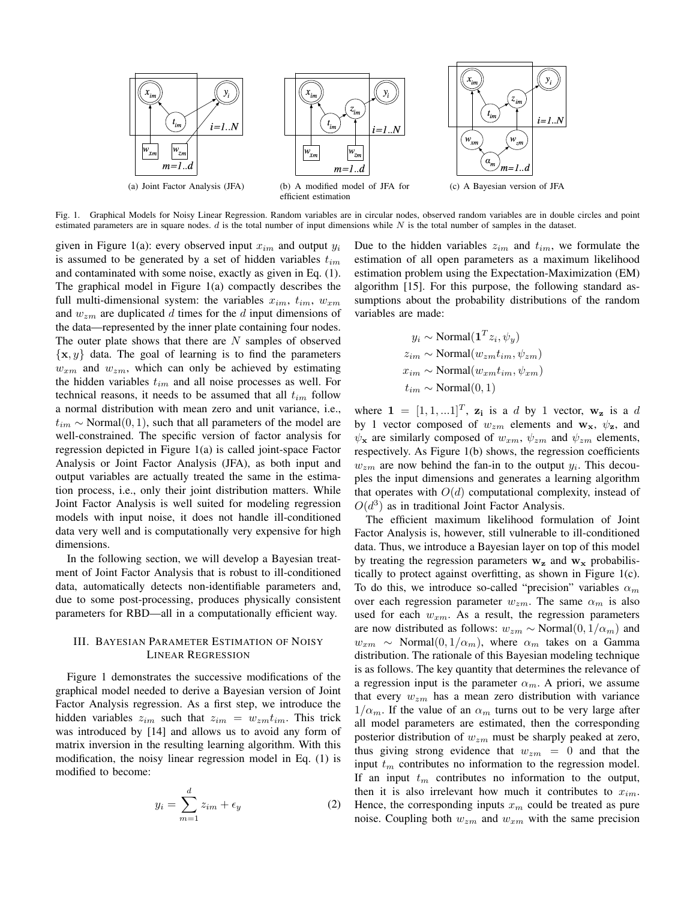

Fig. 1. Graphical Models for Noisy Linear Regression. Random variables are in circular nodes, observed random variables are in double circles and point estimated parameters are in square nodes.  $d$  is the total number of input dimensions while  $N$  is the total number of samples in the dataset.

given in Figure 1(a): every observed input  $x_{im}$  and output  $y_i$ is assumed to be generated by a set of hidden variables  $t_{im}$ and contaminated with some noise, exactly as given in Eq. (1). The graphical model in Figure 1(a) compactly describes the full multi-dimensional system: the variables  $x_{im}$ ,  $t_{im}$ ,  $w_{xm}$ and  $w_{zm}$  are duplicated d times for the d input dimensions of the data—represented by the inner plate containing four nodes. The outer plate shows that there are  $N$  samples of observed  $\{x, y\}$  data. The goal of learning is to find the parameters  $w_{xm}$  and  $w_{zm}$ , which can only be achieved by estimating the hidden variables  $t_{im}$  and all noise processes as well. For technical reasons, it needs to be assumed that all  $t_{im}$  follow a normal distribution with mean zero and unit variance, i.e.,  $t_{im}$  ∼ Normal $(0, 1)$ , such that all parameters of the model are well-constrained. The specific version of factor analysis for regression depicted in Figure 1(a) is called joint-space Factor Analysis or Joint Factor Analysis (JFA), as both input and output variables are actually treated the same in the estimation process, i.e., only their joint distribution matters. While Joint Factor Analysis is well suited for modeling regression models with input noise, it does not handle ill-conditioned data very well and is computationally very expensive for high dimensions.

In the following section, we will develop a Bayesian treatment of Joint Factor Analysis that is robust to ill-conditioned data, automatically detects non-identifiable parameters and, due to some post-processing, produces physically consistent parameters for RBD—all in a computationally efficient way.

## III. BAYESIAN PARAMETER ESTIMATION OF NOISY LINEAR REGRESSION

Figure 1 demonstrates the successive modifications of the graphical model needed to derive a Bayesian version of Joint Factor Analysis regression. As a first step, we introduce the hidden variables  $z_{im}$  such that  $z_{im} = w_{zm}t_{im}$ . This trick was introduced by [14] and allows us to avoid any form of matrix inversion in the resulting learning algorithm. With this modification, the noisy linear regression model in Eq. (1) is modified to become:

$$
y_i = \sum_{m=1}^d z_{im} + \epsilon_y \tag{2}
$$

Due to the hidden variables  $z_{im}$  and  $t_{im}$ , we formulate the estimation of all open parameters as a maximum likelihood estimation problem using the Expectation-Maximization (EM) algorithm [15]. For this purpose, the following standard assumptions about the probability distributions of the random variables are made:

$$
y_i \sim \text{Normal}(\mathbf{1}^T z_i, \psi_y)
$$
  
\n
$$
z_{im} \sim \text{Normal}(w_{zm} t_{im}, \psi_{zm})
$$
  
\n
$$
x_{im} \sim \text{Normal}(w_{xm} t_{im}, \psi_{xm})
$$
  
\n
$$
t_{im} \sim \text{Normal}(0, 1)
$$

where  $\mathbf{1} = [1, 1, ...1]^T$ ,  $\mathbf{z_i}$  is a d by 1 vector,  $\mathbf{w_z}$  is a d by 1 vector composed of  $w_{zm}$  elements and  $w_x$ ,  $\psi_z$ , and  $\psi_x$  are similarly composed of  $w_{xm}$ ,  $\psi_{zm}$  and  $\psi_{zm}$  elements, respectively. As Figure 1(b) shows, the regression coefficients  $w_{zm}$  are now behind the fan-in to the output  $y_i$ . This decouples the input dimensions and generates a learning algorithm that operates with  $O(d)$  computational complexity, instead of  $O(d^3)$  as in traditional Joint Factor Analysis.

The efficient maximum likelihood formulation of Joint Factor Analysis is, however, still vulnerable to ill-conditioned data. Thus, we introduce a Bayesian layer on top of this model by treating the regression parameters  $w_z$  and  $w_x$  probabilistically to protect against overfitting, as shown in Figure 1(c). To do this, we introduce so-called "precision" variables  $\alpha_m$ over each regression parameter  $w_{zm}$ . The same  $\alpha_m$  is also used for each  $w_{xm}$ . As a result, the regression parameters are now distributed as follows:  $w_{zm} \sim \text{Normal}(0, 1/\alpha_m)$  and  $w_{xm} \sim \text{Normal}(0, 1/\alpha_m)$ , where  $\alpha_m$  takes on a Gamma distribution. The rationale of this Bayesian modeling technique is as follows. The key quantity that determines the relevance of a regression input is the parameter  $\alpha_m$ . A priori, we assume that every  $w_{zm}$  has a mean zero distribution with variance  $1/\alpha_m$ . If the value of an  $\alpha_m$  turns out to be very large after all model parameters are estimated, then the corresponding posterior distribution of  $w_{zm}$  must be sharply peaked at zero, thus giving strong evidence that  $w_{zm} = 0$  and that the input  $t_m$  contributes no information to the regression model. If an input  $t_m$  contributes no information to the output, then it is also irrelevant how much it contributes to  $x_{im}$ . Hence, the corresponding inputs  $x_m$  could be treated as pure noise. Coupling both  $w_{zm}$  and  $w_{xm}$  with the same precision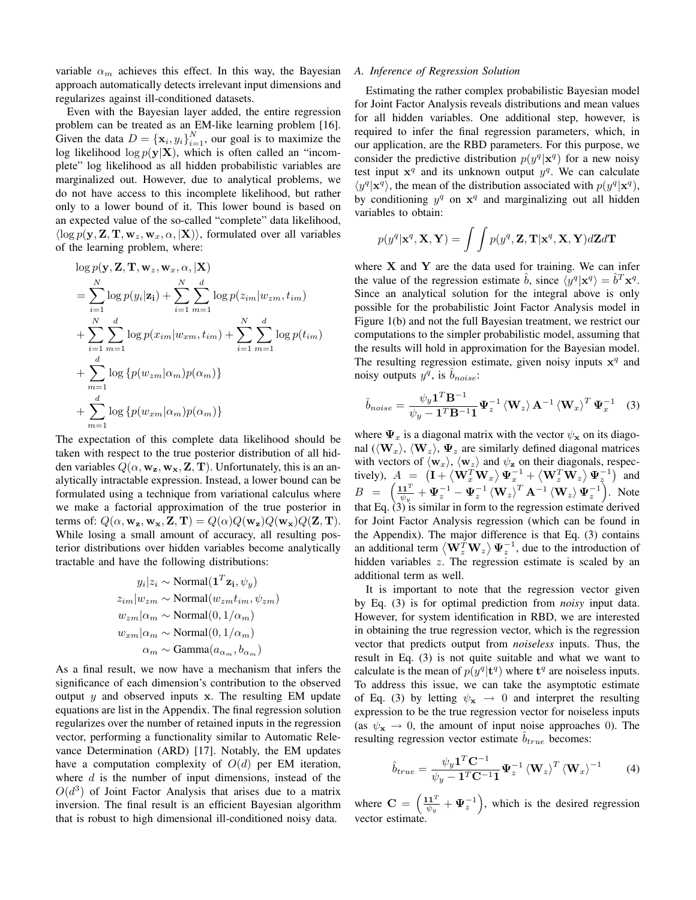variable  $\alpha_m$  achieves this effect. In this way, the Bayesian approach automatically detects irrelevant input dimensions and regularizes against ill-conditioned datasets.

Even with the Bayesian layer added, the entire regression problem can be treated as an EM-like learning problem [16]. Given the data  $D = {\mathbf{x}_i, y_i}_{i=1}^N$ , our goal is to maximize the log likelihood  $\log p(\mathbf{y}|\mathbf{X})$ , which is often called an "incomplete" log likelihood as all hidden probabilistic variables are marginalized out. However, due to analytical problems, we do not have access to this incomplete likelihood, but rather only to a lower bound of it. This lower bound is based on an expected value of the so-called "complete" data likelihood,  $\langle \log p(\mathbf{y}, \mathbf{Z}, \mathbf{T}, \mathbf{w}_z, \mathbf{w}_x, \alpha, | \mathbf{X} \rangle)$ , formulated over all variables of the learning problem, where:

$$
\log p(\mathbf{y}, \mathbf{Z}, \mathbf{T}, \mathbf{w}_z, \mathbf{w}_x, \alpha, |\mathbf{X})
$$
\n
$$
= \sum_{i=1}^N \log p(y_i|\mathbf{z}_i) + \sum_{i=1}^N \sum_{m=1}^d \log p(z_{im}|w_{zm}, t_{im})
$$
\n
$$
+ \sum_{i=1}^N \sum_{m=1}^d \log p(x_{im}|w_{xm}, t_{im}) + \sum_{i=1}^N \sum_{m=1}^d \log p(t_{im})
$$
\n
$$
+ \sum_{m=1}^d \log \{p(w_{zm}|\alpha_m)p(\alpha_m)\}
$$
\n
$$
+ \sum_{m=1}^d \log \{p(w_{xm}|\alpha_m)p(\alpha_m)\}
$$

The expectation of this complete data likelihood should be taken with respect to the true posterior distribution of all hidden variables  $Q(\alpha, \mathbf{w}_z, \mathbf{w}_x, \mathbf{Z}, \mathbf{T})$ . Unfortunately, this is an analytically intractable expression. Instead, a lower bound can be formulated using a technique from variational calculus where we make a factorial approximation of the true posterior in terms of:  $Q(\alpha, \mathbf{w}_z, \mathbf{w}_x, \mathbf{Z}, \mathbf{T}) = Q(\alpha)Q(\mathbf{w}_z)Q(\mathbf{w}_x)Q(\mathbf{Z}, \mathbf{T}).$ While losing a small amount of accuracy, all resulting posterior distributions over hidden variables become analytically tractable and have the following distributions:

$$
y_i|z_i \sim \text{Normal}(\mathbf{1}^T \mathbf{z_i}, \psi_y)
$$
  
\n
$$
z_{im}|w_{zm} \sim \text{Normal}(w_{zm}t_{im}, \psi_{zm})
$$
  
\n
$$
w_{zm}|\alpha_m \sim \text{Normal}(0, 1/\alpha_m)
$$
  
\n
$$
w_{xm}|\alpha_m \sim \text{Normal}(0, 1/\alpha_m)
$$
  
\n
$$
\alpha_m \sim \text{Gamma}(a_{\alpha_m}, b_{\alpha_m})
$$

As a final result, we now have a mechanism that infers the significance of each dimension's contribution to the observed output  $y$  and observed inputs x. The resulting EM update equations are list in the Appendix. The final regression solution regularizes over the number of retained inputs in the regression vector, performing a functionality similar to Automatic Relevance Determination (ARD) [17]. Notably, the EM updates have a computation complexity of  $O(d)$  per EM iteration, where  $d$  is the number of input dimensions, instead of the  $O(d^3)$  of Joint Factor Analysis that arises due to a matrix inversion. The final result is an efficient Bayesian algorithm that is robust to high dimensional ill-conditioned noisy data.

#### A. Inference of Regression Solution

Estimating the rather complex probabilistic Bayesian model for Joint Factor Analysis reveals distributions and mean values for all hidden variables. One additional step, however, is required to infer the final regression parameters, which, in our application, are the RBD parameters. For this purpose, we consider the predictive distribution  $p(y^q | \mathbf{x}^q)$  for a new noisy test input  $x^q$  and its unknown output  $y^q$ . We can calculate  $\langle y^q | \mathbf{x}^q \rangle$ , the mean of the distribution associated with  $p(y^q | \mathbf{x}^q)$ , by conditioning  $y^q$  on  $x^q$  and marginalizing out all hidden variables to obtain:

$$
p(y^q|\mathbf{x}^q, \mathbf{X}, \mathbf{Y}) = \int \int p(y^q, \mathbf{Z}, \mathbf{T}|\mathbf{x}^q, \mathbf{X}, \mathbf{Y}) d\mathbf{Z} d\mathbf{T}
$$

where  $X$  and  $Y$  are the data used for training. We can infer the value of the regression estimate  $\hat{b}$ , since  $\langle y^q | \mathbf{x}^q \rangle = \hat{b}^T \mathbf{x}^q$ . Since an analytical solution for the integral above is only possible for the probabilistic Joint Factor Analysis model in Figure 1(b) and not the full Bayesian treatment, we restrict our computations to the simpler probabilistic model, assuming that the results will hold in approximation for the Bayesian model. The resulting regression estimate, given noisy inputs  $x^q$  and noisy outputs  $y^q$ , is  $\hat{b}_{noise}$ :

$$
\hat{b}_{noise} = \frac{\psi_y \mathbf{1}^T \mathbf{B}^{-1}}{\psi_y - \mathbf{1}^T \mathbf{B}^{-1} \mathbf{1}} \Psi_z^{-1} \left\langle \mathbf{W}_z \right\rangle \mathbf{A}^{-1} \left\langle \mathbf{W}_x \right\rangle^T \Psi_x^{-1}
$$
 (3)

where  $\Psi_x$  is a diagonal matrix with the vector  $\psi_x$  on its diagonal  $(\langle \mathbf{W}_x \rangle, \langle \mathbf{W}_z \rangle, \Psi_z$  are similarly defined diagonal matrices with vectors of  $\langle w_x \rangle$ ,  $\langle w_z \rangle$  and  $\psi_z$  on their diagonals, respectively),  $A = (\mathbf{I} + \langle \mathbf{W}_x^T \mathbf{W}_x \rangle \mathbf{\Psi}_x^{-1} + \langle \mathbf{W}_z^T \mathbf{W}_z \rangle \mathbf{\Psi}_z^{-1})$  and  $B = \left(\frac{11^{T}}{\sqrt{2}}\right)$  $\frac{d\mathbf{I}^T}{d\psi_y} + \mathbf{\Psi}_z^{-1} - \mathbf{\Psi}_z^{-1} \left\langle \mathbf{W}_z \right\rangle^T \mathbf{A}^{-1} \left\langle \mathbf{W}_z \right\rangle \mathbf{\Psi}_z^{-1}$ . Note that Eq.  $(3)$  is similar in form to the regression estimate derived for Joint Factor Analysis regression (which can be found in the Appendix). The major difference is that Eq. (3) contains an additional term  $\langle \mathbf{W}_z^T \mathbf{W}_z \rangle \Psi_z^{-1}$ , due to the introduction of hidden variables z. The regression estimate is scaled by an additional term as well.

It is important to note that the regression vector given by Eq. (3) is for optimal prediction from *noisy* input data. However, for system identification in RBD, we are interested in obtaining the true regression vector, which is the regression vector that predicts output from noiseless inputs. Thus, the result in Eq. (3) is not quite suitable and what we want to calculate is the mean of  $p(y^q | t^q)$  where  $t^q$  are noiseless inputs. To address this issue, we can take the asymptotic estimate of Eq. (3) by letting  $\psi_{\mathbf{x}} \rightarrow 0$  and interpret the resulting expression to be the true regression vector for noiseless inputs (as  $\psi_{\mathbf{x}} \to 0$ , the amount of input noise approaches 0). The resulting regression vector estimate  $\hat{b}_{true}$  becomes:

$$
\hat{b}_{true} = \frac{\psi_y \mathbf{1}^T \mathbf{C}^{-1}}{\psi_y - \mathbf{1}^T \mathbf{C}^{-1} \mathbf{1}} \boldsymbol{\Psi}_z^{-1} \left\langle \mathbf{W}_z \right\rangle^T \left\langle \mathbf{W}_x \right\rangle^{-1} \tag{4}
$$

where  $C = \left(\frac{11^{T}}{10}\right)$  $\frac{d\mathbf{1}^T}{d\psi_y} + \Psi_z^{-1}$ , which is the desired regression vector estimate.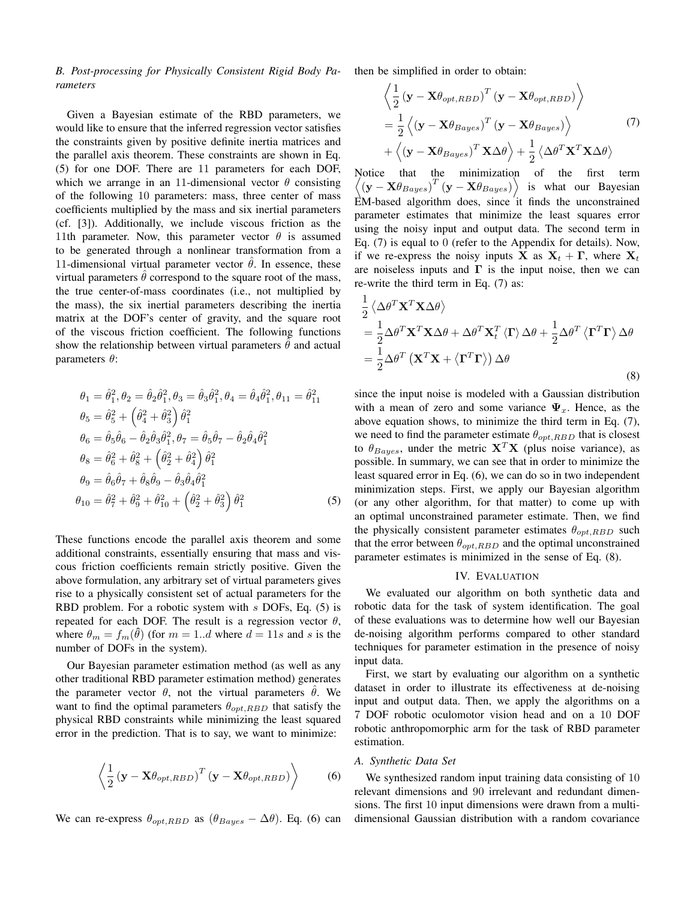B. Post-processing for Physically Consistent Rigid Body Parameters

Given a Bayesian estimate of the RBD parameters, we would like to ensure that the inferred regression vector satisfies the constraints given by positive definite inertia matrices and the parallel axis theorem. These constraints are shown in Eq. (5) for one DOF. There are 11 parameters for each DOF, which we arrange in an 11-dimensional vector  $\theta$  consisting of the following 10 parameters: mass, three center of mass coefficients multiplied by the mass and six inertial parameters (cf. [3]). Additionally, we include viscous friction as the 11th parameter. Now, this parameter vector  $\theta$  is assumed to be generated through a nonlinear transformation from a 11-dimensional virtual parameter vector  $\hat{\theta}$ . In essence, these virtual parameters  $\theta$  correspond to the square root of the mass, the true center-of-mass coordinates (i.e., not multiplied by the mass), the six inertial parameters describing the inertia matrix at the DOF's center of gravity, and the square root of the viscous friction coefficient. The following functions show the relationship between virtual parameters  $\theta$  and actual parameters  $θ$ :

$$
\theta_1 = \hat{\theta}_1^2, \theta_2 = \hat{\theta}_2 \hat{\theta}_1^2, \theta_3 = \hat{\theta}_3 \hat{\theta}_1^2, \theta_4 = \hat{\theta}_4 \hat{\theta}_1^2, \theta_{11} = \hat{\theta}_{11}^2
$$
  
\n
$$
\theta_5 = \hat{\theta}_5^2 + \left(\hat{\theta}_4^2 + \hat{\theta}_3^2\right) \hat{\theta}_1^2
$$
  
\n
$$
\theta_6 = \hat{\theta}_5 \hat{\theta}_6 - \hat{\theta}_2 \hat{\theta}_3 \hat{\theta}_1^2, \theta_7 = \hat{\theta}_5 \hat{\theta}_7 - \hat{\theta}_2 \hat{\theta}_4 \hat{\theta}_1^2
$$
  
\n
$$
\theta_8 = \hat{\theta}_6^2 + \hat{\theta}_8^2 + \left(\hat{\theta}_2^2 + \hat{\theta}_4^2\right) \hat{\theta}_1^2
$$
  
\n
$$
\theta_9 = \hat{\theta}_6 \hat{\theta}_7 + \hat{\theta}_8 \hat{\theta}_9 - \hat{\theta}_3 \hat{\theta}_4 \hat{\theta}_1^2
$$
  
\n
$$
\theta_{10} = \hat{\theta}_7^2 + \hat{\theta}_9^2 + \hat{\theta}_{10}^2 + \left(\hat{\theta}_2^2 + \hat{\theta}_3^2\right) \hat{\theta}_1^2
$$
  
\n(5)

These functions encode the parallel axis theorem and some additional constraints, essentially ensuring that mass and viscous friction coefficients remain strictly positive. Given the above formulation, any arbitrary set of virtual parameters gives rise to a physically consistent set of actual parameters for the RBD problem. For a robotic system with s DOFs, Eq. (5) is repeated for each DOF. The result is a regression vector  $\theta$ , where  $\theta_m = f_m(\hat{\theta})$  (for  $m = 1..d$  where  $d = 11s$  and s is the number of DOFs in the system).

Our Bayesian parameter estimation method (as well as any other traditional RBD parameter estimation method) generates the parameter vector  $\theta$ , not the virtual parameters  $\hat{\theta}$ . We want to find the optimal parameters  $\theta_{opt,RBD}$  that satisfy the physical RBD constraints while minimizing the least squared error in the prediction. That is to say, we want to minimize:

$$
\left\langle \frac{1}{2} \left( \mathbf{y} - \mathbf{X} \theta_{opt,RBD} \right)^T \left( \mathbf{y} - \mathbf{X} \theta_{opt,RBD} \right) \right\rangle \tag{6}
$$

We can re-express  $\theta_{opt,RBD}$  as  $(\theta_{Bayes} - \Delta\theta)$ . Eq. (6) can

then be simplified in order to obtain:

$$
\left\langle \frac{1}{2} \left( \mathbf{y} - \mathbf{X} \theta_{opt, RBD} \right)^T \left( \mathbf{y} - \mathbf{X} \theta_{opt, RBD} \right) \right\rangle \n= \frac{1}{2} \left\langle \left( \mathbf{y} - \mathbf{X} \theta_{Bayes} \right)^T \left( \mathbf{y} - \mathbf{X} \theta_{Bayes} \right) \right\rangle \n+ \left\langle \left( \mathbf{y} - \mathbf{X} \theta_{Bayes} \right)^T \mathbf{X} \Delta \theta \right\rangle + \frac{1}{2} \left\langle \Delta \theta^T \mathbf{X}^T \mathbf{X} \Delta \theta \right\rangle
$$
\n(7)

Notice that the minimization of the first term  $\langle (\mathbf{y} - \mathbf{X}\theta_{Bayes})^T (\mathbf{y} - \mathbf{X}\theta_{Bayes}) \rangle$  is what our Bayesian  $EM$ -based algorithm does, since it finds the unconstrained parameter estimates that minimize the least squares error using the noisy input and output data. The second term in Eq. (7) is equal to 0 (refer to the Appendix for details). Now, if we re-express the noisy inputs **X** as  $X_t + \Gamma$ , where  $X_t$ are noiseless inputs and  $\Gamma$  is the input noise, then we can re-write the third term in Eq. (7) as:

$$
\frac{1}{2} \langle \Delta \theta^T \mathbf{X}^T \mathbf{X} \Delta \theta \rangle \n= \frac{1}{2} \Delta \theta^T \mathbf{X}^T \mathbf{X} \Delta \theta + \Delta \theta^T \mathbf{X}_t^T \langle \mathbf{\Gamma} \rangle \Delta \theta + \frac{1}{2} \Delta \theta^T \langle \mathbf{\Gamma}^T \mathbf{\Gamma} \rangle \Delta \theta \n= \frac{1}{2} \Delta \theta^T (\mathbf{X}^T \mathbf{X} + \langle \mathbf{\Gamma}^T \mathbf{\Gamma} \rangle) \Delta \theta
$$
\n(8)

since the input noise is modeled with a Gaussian distribution with a mean of zero and some variance  $\Psi_x$ . Hence, as the above equation shows, to minimize the third term in Eq. (7), we need to find the parameter estimate  $\theta_{opt,RBD}$  that is closest to  $\theta_{Bayes}$ , under the metric  $X^T X$  (plus noise variance), as possible. In summary, we can see that in order to minimize the least squared error in Eq. (6), we can do so in two independent minimization steps. First, we apply our Bayesian algorithm (or any other algorithm, for that matter) to come up with an optimal unconstrained parameter estimate. Then, we find the physically consistent parameter estimates  $\theta_{opt,RBD}$  such that the error between  $\theta_{opt,RBD}$  and the optimal unconstrained parameter estimates is minimized in the sense of Eq. (8).

#### IV. EVALUATION

We evaluated our algorithm on both synthetic data and robotic data for the task of system identification. The goal of these evaluations was to determine how well our Bayesian de-noising algorithm performs compared to other standard techniques for parameter estimation in the presence of noisy input data.

First, we start by evaluating our algorithm on a synthetic dataset in order to illustrate its effectiveness at de-noising input and output data. Then, we apply the algorithms on a 7 DOF robotic oculomotor vision head and on a 10 DOF robotic anthropomorphic arm for the task of RBD parameter estimation.

#### A. Synthetic Data Set

We synthesized random input training data consisting of 10 relevant dimensions and 90 irrelevant and redundant dimensions. The first 10 input dimensions were drawn from a multidimensional Gaussian distribution with a random covariance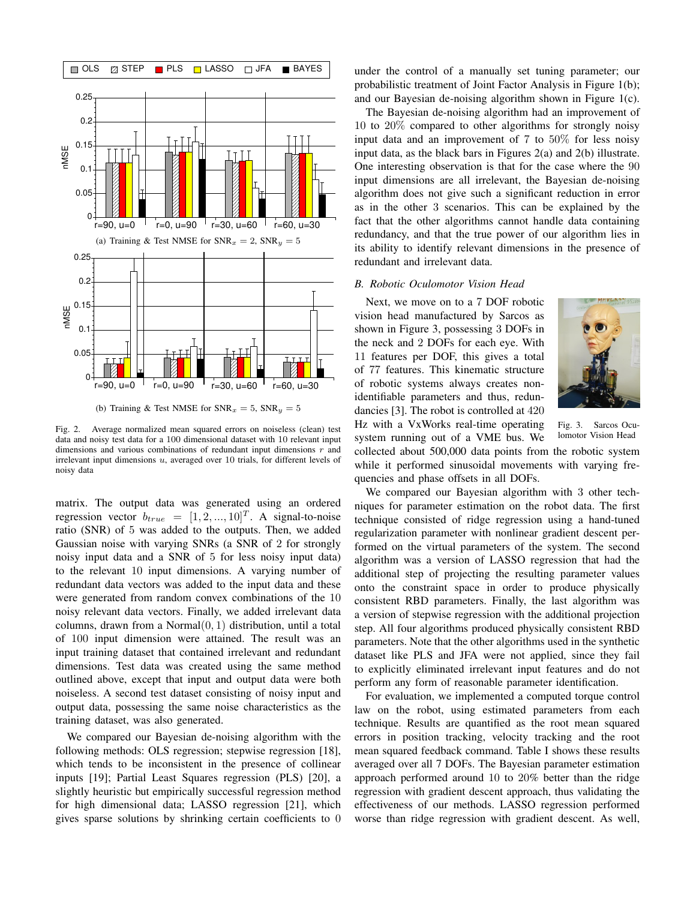

Fig. 2. Average normalized mean squared errors on noiseless (clean) test data and noisy test data for a 100 dimensional dataset with 10 relevant input dimensions and various combinations of redundant input dimensions  $r$  and irrelevant input dimensions  $u$ , averaged over 10 trials, for different levels of noisy data

matrix. The output data was generated using an ordered regression vector  $b_{true} = [1, 2, ..., 10]^T$ . A signal-to-noise ratio (SNR) of 5 was added to the outputs. Then, we added Gaussian noise with varying SNRs (a SNR of 2 for strongly noisy input data and a SNR of 5 for less noisy input data) to the relevant 10 input dimensions. A varying number of redundant data vectors was added to the input data and these were generated from random convex combinations of the 10 noisy relevant data vectors. Finally, we added irrelevant data columns, drawn from a Normal $(0, 1)$  distribution, until a total of 100 input dimension were attained. The result was an input training dataset that contained irrelevant and redundant dimensions. Test data was created using the same method outlined above, except that input and output data were both noiseless. A second test dataset consisting of noisy input and output data, possessing the same noise characteristics as the training dataset, was also generated.

We compared our Bayesian de-noising algorithm with the following methods: OLS regression; stepwise regression [18], which tends to be inconsistent in the presence of collinear inputs [19]; Partial Least Squares regression (PLS) [20], a slightly heuristic but empirically successful regression method for high dimensional data; LASSO regression [21], which gives sparse solutions by shrinking certain coefficients to 0 under the control of a manually set tuning parameter; our probabilistic treatment of Joint Factor Analysis in Figure 1(b); and our Bayesian de-noising algorithm shown in Figure 1(c).

The Bayesian de-noising algorithm had an improvement of 10 to 20% compared to other algorithms for strongly noisy input data and an improvement of 7 to 50% for less noisy input data, as the black bars in Figures 2(a) and 2(b) illustrate. One interesting observation is that for the case where the 90 input dimensions are all irrelevant, the Bayesian de-noising algorithm does not give such a significant reduction in error as in the other 3 scenarios. This can be explained by the fact that the other algorithms cannot handle data containing redundancy, and that the true power of our algorithm lies in its ability to identify relevant dimensions in the presence of redundant and irrelevant data.

#### B. Robotic Oculomotor Vision Head

Next, we move on to a 7 DOF robotic vision head manufactured by Sarcos as shown in Figure 3, possessing 3 DOFs in the neck and 2 DOFs for each eye. With 11 features per DOF, this gives a total of 77 features. This kinematic structure of robotic systems always creates nonidentifiable parameters and thus, redundancies [3]. The robot is controlled at 420 Hz with a VxWorks real-time operating



Fig. 3. Sarcos Oculomotor Vision Head

system running out of a VME bus. We collected about 500,000 data points from the robotic system while it performed sinusoidal movements with varying frequencies and phase offsets in all DOFs.

We compared our Bayesian algorithm with 3 other techniques for parameter estimation on the robot data. The first technique consisted of ridge regression using a hand-tuned regularization parameter with nonlinear gradient descent performed on the virtual parameters of the system. The second algorithm was a version of LASSO regression that had the additional step of projecting the resulting parameter values onto the constraint space in order to produce physically consistent RBD parameters. Finally, the last algorithm was a version of stepwise regression with the additional projection step. All four algorithms produced physically consistent RBD parameters. Note that the other algorithms used in the synthetic dataset like PLS and JFA were not applied, since they fail to explicitly eliminated irrelevant input features and do not perform any form of reasonable parameter identification.

For evaluation, we implemented a computed torque control law on the robot, using estimated parameters from each technique. Results are quantified as the root mean squared errors in position tracking, velocity tracking and the root mean squared feedback command. Table I shows these results averaged over all 7 DOFs. The Bayesian parameter estimation approach performed around 10 to 20% better than the ridge regression with gradient descent approach, thus validating the effectiveness of our methods. LASSO regression performed worse than ridge regression with gradient descent. As well,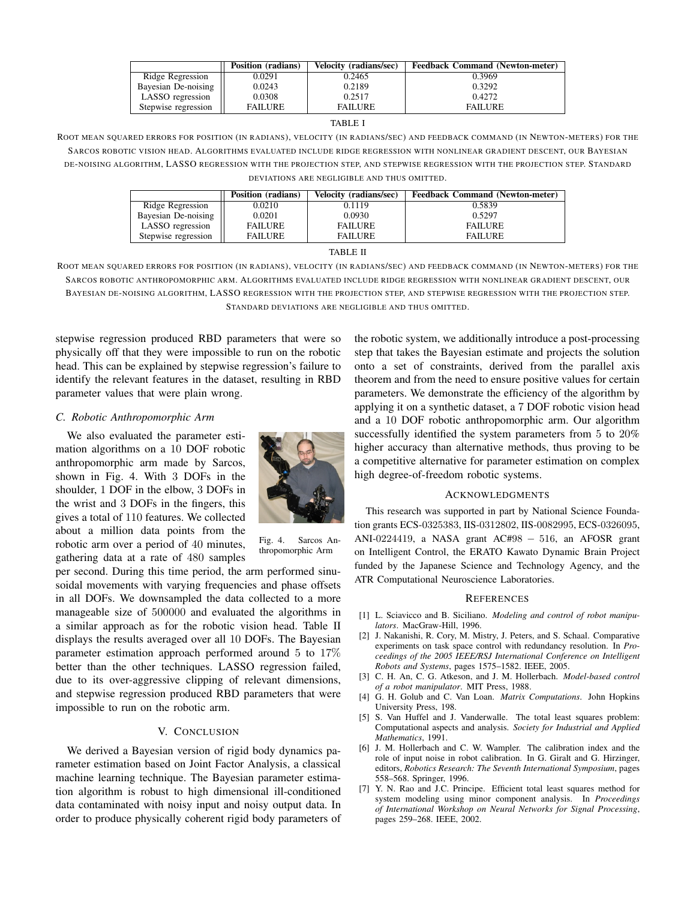|                     | Position (radians) | Velocity (radians/sec) | <b>Feedback Command (Newton-meter)</b> |
|---------------------|--------------------|------------------------|----------------------------------------|
| Ridge Regression    | 0.0291             | 0.2465                 | 0.3969                                 |
| Bayesian De-noising | 0.0243             | 0.2189                 | 0.3292                                 |
| LASSO regression    | 0.0308             | 0.2517                 | 0.4272                                 |
| Stepwise regression | <b>FAILURE</b>     | <b>FAILURE</b>         | <b>FAILURE</b>                         |

#### TABLE I

ROOT MEAN SQUARED ERRORS FOR POSITION (IN RADIANS), VELOCITY (IN RADIANS/SEC) AND FEEDBACK COMMAND (IN NEWTON-METERS) FOR THE SARCOS ROBOTIC VISION HEAD. ALGORITHMS EVALUATED INCLUDE RIDGE REGRESSION WITH NONLINEAR GRADIENT DESCENT, OUR BAYESIAN DE-NOISING ALGORITHM, LASSO REGRESSION WITH THE PROJECTION STEP, AND STEPWISE REGRESSION WITH THE PROJECTION STEP. STANDARD DEVIATIONS ARE NEGLIGIBLE AND THUS OMITTED.

|                     | Position (radians) | Velocity (radians/sec) | <b>Feedback Command (Newton-meter)</b> |
|---------------------|--------------------|------------------------|----------------------------------------|
| Ridge Regression    | 0.0210             | 0.1119                 | 0.5839                                 |
| Bayesian De-noising | 0.0201             | 0.0930                 | 0.5297                                 |
| LASSO regression    | <b>FAILURE</b>     | <b>FAILURE</b>         | <b>FAILURE</b>                         |
| Stepwise regression | <b>FAILURE</b>     | <b>FAILURE</b>         | <b>FAILURE</b>                         |

#### TABLE II

ROOT MEAN SQUARED ERRORS FOR POSITION (IN RADIANS), VELOCITY (IN RADIANS/SEC) AND FEEDBACK COMMAND (IN NEWTON-METERS) FOR THE SARCOS ROBOTIC ANTHROPOMORPHIC ARM. ALGORITHMS EVALUATED INCLUDE RIDGE REGRESSION WITH NONLINEAR GRADIENT DESCENT, OUR BAYESIAN DE-NOISING ALGORITHM, LASSO REGRESSION WITH THE PROJECTION STEP, AND STEPWISE REGRESSION WITH THE PROJECTION STEP. STANDARD DEVIATIONS ARE NEGLIGIBLE AND THUS OMITTED.

stepwise regression produced RBD parameters that were so physically off that they were impossible to run on the robotic head. This can be explained by stepwise regression's failure to identify the relevant features in the dataset, resulting in RBD parameter values that were plain wrong.

#### C. Robotic Anthropomorphic Arm

We also evaluated the parameter estimation algorithms on a 10 DOF robotic anthropomorphic arm made by Sarcos, shown in Fig. 4. With 3 DOFs in the shoulder, 1 DOF in the elbow, 3 DOFs in the wrist and 3 DOFs in the fingers, this gives a total of 110 features. We collected about a million data points from the robotic arm over a period of 40 minutes, gathering data at a rate of 480 samples



Fig. 4. Sarcos Anthropomorphic Arm

per second. During this time period, the arm performed sinusoidal movements with varying frequencies and phase offsets in all DOFs. We downsampled the data collected to a more manageable size of 500000 and evaluated the algorithms in a similar approach as for the robotic vision head. Table II displays the results averaged over all 10 DOFs. The Bayesian parameter estimation approach performed around 5 to 17% better than the other techniques. LASSO regression failed, due to its over-aggressive clipping of relevant dimensions, and stepwise regression produced RBD parameters that were impossible to run on the robotic arm.

## V. CONCLUSION

We derived a Bayesian version of rigid body dynamics parameter estimation based on Joint Factor Analysis, a classical machine learning technique. The Bayesian parameter estimation algorithm is robust to high dimensional ill-conditioned data contaminated with noisy input and noisy output data. In order to produce physically coherent rigid body parameters of the robotic system, we additionally introduce a post-processing step that takes the Bayesian estimate and projects the solution onto a set of constraints, derived from the parallel axis theorem and from the need to ensure positive values for certain parameters. We demonstrate the efficiency of the algorithm by applying it on a synthetic dataset, a 7 DOF robotic vision head and a 10 DOF robotic anthropomorphic arm. Our algorithm successfully identified the system parameters from 5 to 20% higher accuracy than alternative methods, thus proving to be a competitive alternative for parameter estimation on complex high degree-of-freedom robotic systems.

#### ACKNOWLEDGMENTS

This research was supported in part by National Science Foundation grants ECS-0325383, IIS-0312802, IIS-0082995, ECS-0326095, ANI-0224419, a NASA grant AC#98 − 516, an AFOSR grant on Intelligent Control, the ERATO Kawato Dynamic Brain Project funded by the Japanese Science and Technology Agency, and the ATR Computational Neuroscience Laboratories.

#### **REFERENCES**

- [1] L. Sciavicco and B. Siciliano. Modeling and control of robot manipulators. MacGraw-Hill, 1996.
- [2] J. Nakanishi, R. Cory, M. Mistry, J. Peters, and S. Schaal. Comparative experiments on task space control with redundancy resolution. In Proceedings of the 2005 IEEE/RSJ International Conference on Intelligent Robots and Systems, pages 1575–1582. IEEE, 2005.
- [3] C. H. An, C. G. Atkeson, and J. M. Hollerbach. *Model-based control* of a robot manipulator. MIT Press, 1988.
- [4] G. H. Golub and C. Van Loan. Matrix Computations. John Hopkins University Press, 198.
- [5] S. Van Huffel and J. Vanderwalle. The total least squares problem: Computational aspects and analysis. Society for Industrial and Applied Mathematics, 1991.
- [6] J. M. Hollerbach and C. W. Wampler. The calibration index and the role of input noise in robot calibration. In G. Giralt and G. Hirzinger, editors, Robotics Research: The Seventh International Symposium, pages 558–568. Springer, 1996.
- [7] Y. N. Rao and J.C. Principe. Efficient total least squares method for system modeling using minor component analysis. In Proceedings of International Workshop on Neural Networks for Signal Processing, pages 259–268. IEEE, 2002.